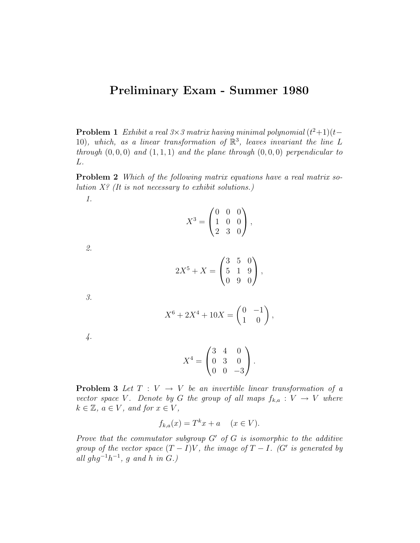## Preliminary Exam - Summer 1980

**Problem 1** Exhibit a real  $3\times3$  matrix having minimal polynomial  $(t^2+1)(t-$ 10), which, as a linear transformation of  $\mathbb{R}^3$ , leaves invariant the line L through  $(0, 0, 0)$  and  $(1, 1, 1)$  and the plane through  $(0, 0, 0)$  perpendicular to L.

Problem 2 Which of the following matrix equations have a real matrix solution  $X$ ? (It is not necessary to exhibit solutions.)

$$
X^3 = \begin{pmatrix} 0 & 0 & 0 \\ 1 & 0 & 0 \\ 2 & 3 & 0 \end{pmatrix},
$$

2.

1.

$$
2X^5 + X = \begin{pmatrix} 3 & 5 & 0 \\ 5 & 1 & 9 \\ 0 & 9 & 0 \end{pmatrix},
$$

3.

$$
X^6 + 2X^4 + 10X = \begin{pmatrix} 0 & -1 \\ 1 & 0 \end{pmatrix},
$$

4.

$$
X^4 = \begin{pmatrix} 3 & 4 & 0 \\ 0 & 3 & 0 \\ 0 & 0 & -3 \end{pmatrix}.
$$

**Problem 3** Let  $T: V \rightarrow V$  be an invertible linear transformation of a vector space V. Denote by G the group of all maps  $f_{k,a}: V \to V$  where  $k \in \mathbb{Z}$ ,  $a \in V$ , and for  $x \in V$ ,

$$
f_{k,a}(x) = T^k x + a \quad (x \in V).
$$

Prove that the commutator subgroup  $G'$  of  $G$  is isomorphic to the additive group of the vector space  $(T - I)V$ , the image of  $T - I$ . (G' is generated by all ghg<sup>-1</sup> $h^{-1}$ , g and h in G.)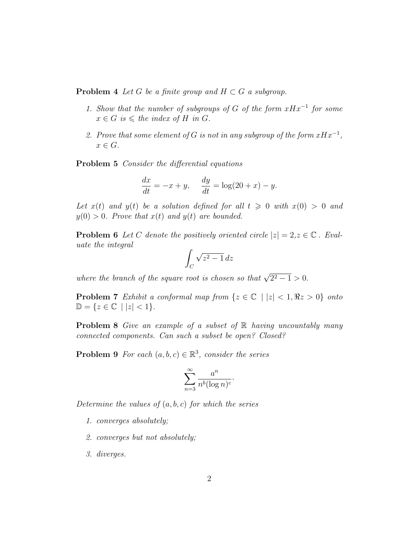**Problem 4** Let G be a finite group and  $H \subset G$  a subgroup.

- 1. Show that the number of subgroups of G of the form  $xHx^{-1}$  for some  $x \in G$  is  $\leq$  the index of H in G.
- 2. Prove that some element of G is not in any subgroup of the form  $xHx^{-1}$ ,  $x \in G$ .

Problem 5 Consider the differential equations

$$
\frac{dx}{dt} = -x + y, \quad \frac{dy}{dt} = \log(20 + x) - y.
$$

Let  $x(t)$  and  $y(t)$  be a solution defined for all  $t \geq 0$  with  $x(0) > 0$  and  $y(0) > 0$ . Prove that  $x(t)$  and  $y(t)$  are bounded.

**Problem 6** Let C denote the positively oriented circle  $|z| = 2, z \in \mathbb{C}$ . Evaluate the integral

$$
\int_C \sqrt{z^2 - 1} \, dz
$$

where the branch of the square root is chosen so that  $\sqrt{2^2-1} > 0$ .

**Problem 7** Exhibit a conformal map from  $\{z \in \mathbb{C} \mid |z| < 1, \Re z > 0\}$  onto  $\mathbb{D} = \{z \in \mathbb{C} \mid |z| < 1\}.$ 

**Problem 8** Give an example of a subset of  $\mathbb{R}$  having uncountably many connected components. Can such a subset be open? Closed?

**Problem 9** For each  $(a, b, c) \in \mathbb{R}^3$ , consider the series

$$
\sum_{n=3}^{\infty} \frac{a^n}{n^b (\log n)^c}.
$$

Determine the values of  $(a, b, c)$  for which the series

- 1. converges absolutely;
- 2. converges but not absolutely;
- 3. diverges.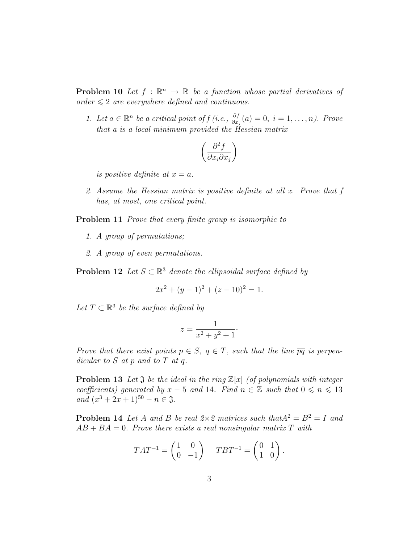**Problem 10** Let  $f : \mathbb{R}^n \to \mathbb{R}$  be a function whose partial derivatives of order  $\leq 2$  are everywhere defined and continuous.

1. Let  $a \in \mathbb{R}^n$  be a critical point of  $f(i.e., \frac{\partial f}{\partial x_j}(a) = 0, i = 1, \ldots, n)$ . Prove that a is a local minimum provided the Hessian matrix

$$
\left(\frac{\partial^2 f}{\partial x_i \partial x_j}\right)
$$

is positive definite at  $x = a$ .

2. Assume the Hessian matrix is positive definite at all x. Prove that f has, at most, one critical point.

**Problem 11** Prove that every finite group is isomorphic to

- 1. A group of permutations;
- 2. A group of even permutations.

**Problem 12** Let  $S \subset \mathbb{R}^3$  denote the ellipsoidal surface defined by

$$
2x^2 + (y - 1)^2 + (z - 10)^2 = 1.
$$

Let  $T \subset \mathbb{R}^3$  be the surface defined by

$$
z = \frac{1}{x^2 + y^2 + 1}.
$$

Prove that there exist points  $p \in S$ ,  $q \in T$ , such that the line  $\overline{pq}$  is perpendicular to  $S$  at  $p$  and to  $T$  at  $q$ .

**Problem 13** Let  $\mathfrak J$  be the ideal in the ring  $\mathbb Z[x]$  (of polynomials with integer coefficients) generated by  $x - 5$  and 14. Find  $n \in \mathbb{Z}$  such that  $0 \le n \le 13$ and  $(x^3 + 2x + 1)^{50} - n \in \mathfrak{J}.$ 

**Problem 14** Let A and B be real  $2 \times 2$  matrices such that  $A^2 = B^2 = I$  and  $AB + BA = 0$ . Prove there exists a real nonsingular matrix T with

$$
TAT^{-1} = \begin{pmatrix} 1 & 0 \\ 0 & -1 \end{pmatrix} \quad TBT^{-1} = \begin{pmatrix} 0 & 1 \\ 1 & 0 \end{pmatrix}.
$$